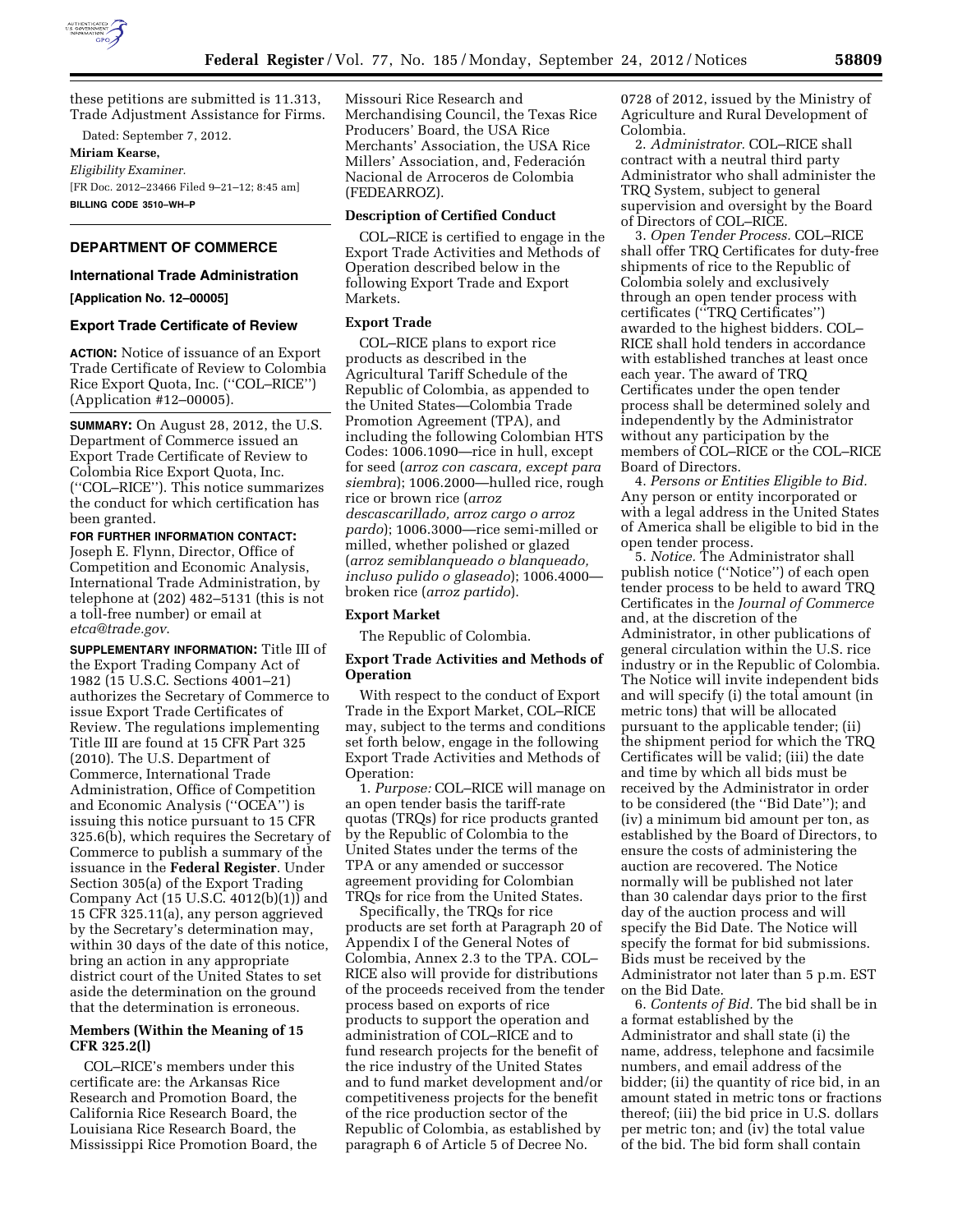

these petitions are submitted is 11.313, Trade Adjustment Assistance for Firms.

Dated: September 7, 2012.

## **Miriam Kearse,**

*Eligibility Examiner.*  [FR Doc. 2012–23466 Filed 9–21–12; 8:45 am] **BILLING CODE 3510–WH–P** 

### **DEPARTMENT OF COMMERCE**

#### **International Trade Administration**

#### **[Application No. 12–00005]**

#### **Export Trade Certificate of Review**

**ACTION:** Notice of issuance of an Export Trade Certificate of Review to Colombia Rice Export Quota, Inc. (''COL–RICE'') (Application #12–00005).

**SUMMARY:** On August 28, 2012, the U.S. Department of Commerce issued an Export Trade Certificate of Review to Colombia Rice Export Quota, Inc. (''COL–RICE''). This notice summarizes the conduct for which certification has been granted.

**FOR FURTHER INFORMATION CONTACT:**  Joseph E. Flynn, Director, Office of Competition and Economic Analysis, International Trade Administration, by telephone at (202) 482–5131 (this is not a toll-free number) or email at *[etca@trade.gov](mailto:etca@trade.gov)*.

**SUPPLEMENTARY INFORMATION:** Title III of the Export Trading Company Act of 1982 (15 U.S.C. Sections 4001–21) authorizes the Secretary of Commerce to issue Export Trade Certificates of Review. The regulations implementing Title III are found at 15 CFR Part 325 (2010). The U.S. Department of Commerce, International Trade Administration, Office of Competition and Economic Analysis (''OCEA'') is issuing this notice pursuant to 15 CFR 325.6(b), which requires the Secretary of Commerce to publish a summary of the issuance in the **Federal Register**. Under Section 305(a) of the Export Trading Company Act (15 U.S.C. 4012(b)(1)) and 15 CFR 325.11(a), any person aggrieved by the Secretary's determination may, within 30 days of the date of this notice, bring an action in any appropriate district court of the United States to set aside the determination on the ground that the determination is erroneous.

## **Members (Within the Meaning of 15 CFR 325.2(l)**

COL–RICE's members under this certificate are: the Arkansas Rice Research and Promotion Board, the California Rice Research Board, the Louisiana Rice Research Board, the Mississippi Rice Promotion Board, the Missouri Rice Research and Merchandising Council, the Texas Rice Producers' Board, the USA Rice Merchants' Association, the USA Rice Millers' Association, and, Federación Nacional de Arroceros de Colombia (FEDEARROZ).

#### **Description of Certified Conduct**

COL–RICE is certified to engage in the Export Trade Activities and Methods of Operation described below in the following Export Trade and Export Markets.

# **Export Trade**

COL–RICE plans to export rice products as described in the Agricultural Tariff Schedule of the Republic of Colombia, as appended to the United States—Colombia Trade Promotion Agreement (TPA), and including the following Colombian HTS Codes: 1006.1090—rice in hull, except for seed (*arroz con cascara, except para siembra*); 1006.2000—hulled rice, rough rice or brown rice (*arroz descascarillado, arroz cargo o arroz pardo*); 1006.3000—rice semi-milled or milled, whether polished or glazed (*arroz semiblanqueado o blanqueado, incluso pulido o glaseado*); 1006.4000 broken rice (*arroz partido*).

## **Export Market**

The Republic of Colombia.

# **Export Trade Activities and Methods of Operation**

With respect to the conduct of Export Trade in the Export Market, COL–RICE may, subject to the terms and conditions set forth below, engage in the following Export Trade Activities and Methods of Operation:

1. *Purpose:* COL–RICE will manage on an open tender basis the tariff-rate quotas (TRQs) for rice products granted by the Republic of Colombia to the United States under the terms of the TPA or any amended or successor agreement providing for Colombian TRQs for rice from the United States.

Specifically, the TRQs for rice products are set forth at Paragraph 20 of Appendix I of the General Notes of Colombia, Annex 2.3 to the TPA. COL– RICE also will provide for distributions of the proceeds received from the tender process based on exports of rice products to support the operation and administration of COL–RICE and to fund research projects for the benefit of the rice industry of the United States and to fund market development and/or competitiveness projects for the benefit of the rice production sector of the Republic of Colombia, as established by paragraph 6 of Article 5 of Decree No.

0728 of 2012, issued by the Ministry of Agriculture and Rural Development of Colombia.

2. *Administrator.* COL–RICE shall contract with a neutral third party Administrator who shall administer the TRQ System, subject to general supervision and oversight by the Board of Directors of COL–RICE.

3. *Open Tender Process.* COL–RICE shall offer TRQ Certificates for duty-free shipments of rice to the Republic of Colombia solely and exclusively through an open tender process with certificates (''TRQ Certificates'') awarded to the highest bidders. COL– RICE shall hold tenders in accordance with established tranches at least once each year. The award of TRQ Certificates under the open tender process shall be determined solely and independently by the Administrator without any participation by the members of COL–RICE or the COL–RICE Board of Directors.

4. *Persons or Entities Eligible to Bid.*  Any person or entity incorporated or with a legal address in the United States of America shall be eligible to bid in the open tender process.

5. *Notice.* The Administrator shall publish notice (''Notice'') of each open tender process to be held to award TRQ Certificates in the *Journal of Commerce*  and, at the discretion of the Administrator, in other publications of general circulation within the U.S. rice industry or in the Republic of Colombia. The Notice will invite independent bids and will specify (i) the total amount (in metric tons) that will be allocated pursuant to the applicable tender; (ii) the shipment period for which the TRQ Certificates will be valid; (iii) the date and time by which all bids must be received by the Administrator in order to be considered (the ''Bid Date''); and (iv) a minimum bid amount per ton, as established by the Board of Directors, to ensure the costs of administering the auction are recovered. The Notice normally will be published not later than 30 calendar days prior to the first day of the auction process and will specify the Bid Date. The Notice will specify the format for bid submissions. Bids must be received by the Administrator not later than 5 p.m. EST on the Bid Date.

6. *Contents of Bid.* The bid shall be in a format established by the Administrator and shall state (i) the name, address, telephone and facsimile numbers, and email address of the bidder; (ii) the quantity of rice bid, in an amount stated in metric tons or fractions thereof; (iii) the bid price in U.S. dollars per metric ton; and (iv) the total value of the bid. The bid form shall contain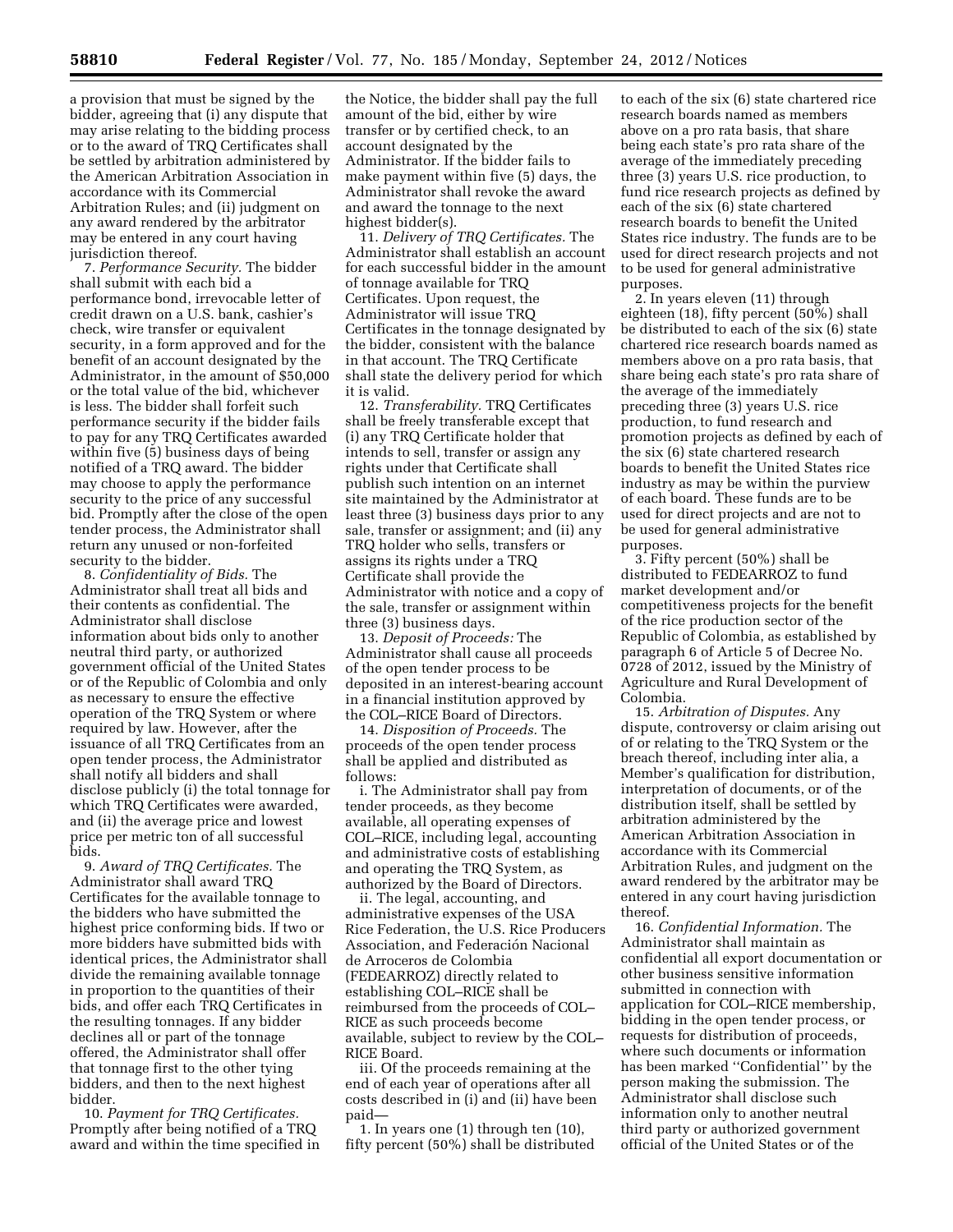a provision that must be signed by the bidder, agreeing that (i) any dispute that may arise relating to the bidding process or to the award of TRQ Certificates shall be settled by arbitration administered by the American Arbitration Association in accordance with its Commercial Arbitration Rules; and (ii) judgment on any award rendered by the arbitrator may be entered in any court having jurisdiction thereof.

7. *Performance Security.* The bidder shall submit with each bid a performance bond, irrevocable letter of credit drawn on a U.S. bank, cashier's check, wire transfer or equivalent security, in a form approved and for the benefit of an account designated by the Administrator, in the amount of \$50,000 or the total value of the bid, whichever is less. The bidder shall forfeit such performance security if the bidder fails to pay for any TRQ Certificates awarded within five (5) business days of being notified of a TRQ award. The bidder may choose to apply the performance security to the price of any successful bid. Promptly after the close of the open tender process, the Administrator shall return any unused or non-forfeited security to the bidder.

8. *Confidentiality of Bids.* The Administrator shall treat all bids and their contents as confidential. The Administrator shall disclose information about bids only to another neutral third party, or authorized government official of the United States or of the Republic of Colombia and only as necessary to ensure the effective operation of the TRQ System or where required by law. However, after the issuance of all TRQ Certificates from an open tender process, the Administrator shall notify all bidders and shall disclose publicly (i) the total tonnage for which TRQ Certificates were awarded, and (ii) the average price and lowest price per metric ton of all successful bids.

9. *Award of TRQ Certificates.* The Administrator shall award TRQ Certificates for the available tonnage to the bidders who have submitted the highest price conforming bids. If two or more bidders have submitted bids with identical prices, the Administrator shall divide the remaining available tonnage in proportion to the quantities of their bids, and offer each TRQ Certificates in the resulting tonnages. If any bidder declines all or part of the tonnage offered, the Administrator shall offer that tonnage first to the other tying bidders, and then to the next highest bidder.

10. *Payment for TRQ Certificates.*  Promptly after being notified of a TRQ award and within the time specified in

the Notice, the bidder shall pay the full amount of the bid, either by wire transfer or by certified check, to an account designated by the Administrator. If the bidder fails to make payment within five (5) days, the Administrator shall revoke the award and award the tonnage to the next highest bidder(s).

11. *Delivery of TRQ Certificates.* The Administrator shall establish an account for each successful bidder in the amount of tonnage available for TRQ Certificates. Upon request, the Administrator will issue TRQ Certificates in the tonnage designated by the bidder, consistent with the balance in that account. The TRQ Certificate shall state the delivery period for which it is valid.

12. *Transferability.* TRQ Certificates shall be freely transferable except that (i) any TRQ Certificate holder that intends to sell, transfer or assign any rights under that Certificate shall publish such intention on an internet site maintained by the Administrator at least three (3) business days prior to any sale, transfer or assignment; and (ii) any TRQ holder who sells, transfers or assigns its rights under a TRQ Certificate shall provide the Administrator with notice and a copy of the sale, transfer or assignment within three (3) business days.

13. *Deposit of Proceeds:* The Administrator shall cause all proceeds of the open tender process to be deposited in an interest-bearing account in a financial institution approved by the COL–RICE Board of Directors.

14. *Disposition of Proceeds.* The proceeds of the open tender process shall be applied and distributed as follows:

i. The Administrator shall pay from tender proceeds, as they become available, all operating expenses of COL–RICE, including legal, accounting and administrative costs of establishing and operating the TRQ System, as authorized by the Board of Directors.

ii. The legal, accounting, and administrative expenses of the USA Rice Federation, the U.S. Rice Producers Association, and Federación Nacional de Arroceros de Colombia (FEDEARROZ) directly related to establishing COL–RICE shall be reimbursed from the proceeds of COL– RICE as such proceeds become available, subject to review by the COL– RICE Board.

iii. Of the proceeds remaining at the end of each year of operations after all costs described in (i) and (ii) have been paid—

1. In years one (1) through ten (10), fifty percent (50%) shall be distributed

to each of the six (6) state chartered rice research boards named as members above on a pro rata basis, that share being each state's pro rata share of the average of the immediately preceding three (3) years U.S. rice production, to fund rice research projects as defined by each of the six (6) state chartered research boards to benefit the United States rice industry. The funds are to be used for direct research projects and not to be used for general administrative purposes.

2. In years eleven (11) through eighteen (18), fifty percent (50%) shall be distributed to each of the six (6) state chartered rice research boards named as members above on a pro rata basis, that share being each state's pro rata share of the average of the immediately preceding three (3) years U.S. rice production, to fund research and promotion projects as defined by each of the six (6) state chartered research boards to benefit the United States rice industry as may be within the purview of each board. These funds are to be used for direct projects and are not to be used for general administrative purposes.

3. Fifty percent (50%) shall be distributed to FEDEARROZ to fund market development and/or competitiveness projects for the benefit of the rice production sector of the Republic of Colombia, as established by paragraph 6 of Article 5 of Decree No. 0728 of 2012, issued by the Ministry of Agriculture and Rural Development of Colombia.

15. *Arbitration of Disputes.* Any dispute, controversy or claim arising out of or relating to the TRQ System or the breach thereof, including inter alia, a Member's qualification for distribution, interpretation of documents, or of the distribution itself, shall be settled by arbitration administered by the American Arbitration Association in accordance with its Commercial Arbitration Rules, and judgment on the award rendered by the arbitrator may be entered in any court having jurisdiction thereof.

16. *Confidential Information.* The Administrator shall maintain as confidential all export documentation or other business sensitive information submitted in connection with application for COL–RICE membership, bidding in the open tender process, or requests for distribution of proceeds, where such documents or information has been marked ''Confidential'' by the person making the submission. The Administrator shall disclose such information only to another neutral third party or authorized government official of the United States or of the